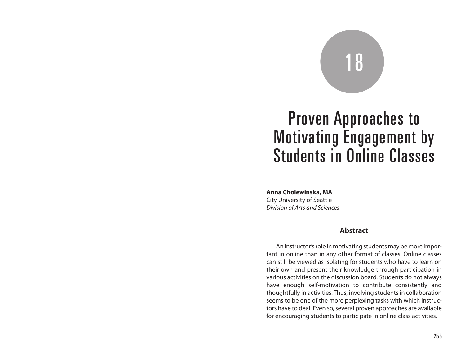# 18

# Proven Approaches to Motivating Engagement by Students in Online Classes

**Anna Cholewinska, MA**

City University of Seattle *Division of Arts and Sciences*

#### **Abstract**

An instructor's role in motivating students may be more important in online than in any other format of classes. Online classes can still be viewed as isolating for students who have to learn on their own and present their knowledge through participation in various activities on the discussion board. Students do not always have enough self-motivation to contribute consistently and thoughtfully in activities. Thus, involving students in collaboration seems to be one of the more perplexing tasks with which instructors have to deal. Even so, several proven approaches are available for encouraging students to participate in online class activities.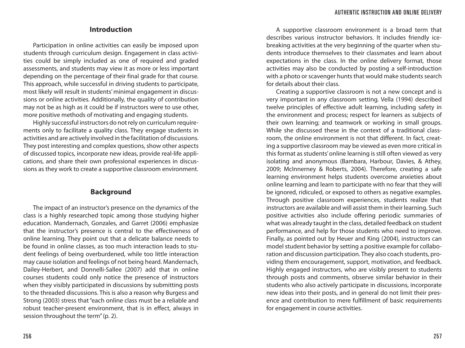# **Introduction**

Participation in online activities can easily be imposed upon students through curriculum design. Engagement in class activities could be simply included as one of required and graded assessments, and students may view it as more or less important depending on the percentage of their final grade for that course. This approach, while successful in driving students to participate, most likely will result in students' minimal engagement in discussions or online activities. Additionally, the quality of contribution may not be as high as it could be if instructors were to use other, more positive methods of motivating and engaging students.

Highly successful instructors do not rely on curriculum requirements only to facilitate a quality class. They engage students in activities and are actively involved in the facilitation of discussions. They post interesting and complex questions, show other aspects of discussed topics, incorporate new ideas, provide real-life applications, and share their own professional experiences in discussions as they work to create a supportive classroom environment.

#### **Background**

The impact of an instructor's presence on the dynamics of the class is a highly researched topic among those studying higher education. Mandernach, Gonzales, and Garret (2006) emphasize that the instructor's presence is central to the effectiveness of online learning. They point out that a delicate balance needs to be found in online classes, as too much interaction leads to student feelings of being overburdened, while too little interaction may cause isolation and feelings of not being heard. Mandernach, Dailey-Herbert, and Donnelli-Sallee (2007) add that in online courses students could only notice the presence of instructors when they visibly participated in discussions by submitting posts to the threaded discussions. This is also a reason why Burgess and Strong (2003) stress that "each online class must be a reliable and robust teacher-present environment, that is in effect, always in session throughout the term" (p. 2).

A supportive classroom environment is a broad term that describes various instructor behaviors. It includes friendly icebreaking activities at the very beginning of the quarter when students introduce themselves to their classmates and learn about expectations in the class. In the online delivery format, those activities may also be conducted by posting a self-introduction with a photo or scavenger hunts that would make students search for details about their class.

Creating a supportive classroom is not a new concept and is very important in any classroom setting. Vella (1994) described twelve principles of effective adult learning, including safety in the environment and process; respect for learners as subjects of their own learning; and teamwork or working in small groups. While she discussed these in the context of a traditional classroom, the online environment is not that different. In fact, creating a supportive classroom may be viewed as even more critical in this format as students' online learning is still often viewed as very isolating and anonymous (Bambara, Harbour, Davies, & Athey, 2009; McInnerney & Roberts, 2004). Therefore, creating a safe learning environment helps students overcome anxieties about online learning and learn to participate with no fear that they will be ignored, ridiculed, or exposed to others as negative examples. Through positive classroom experiences, students realize that instructors are available and will assist them in their learning. Such positive activities also include offering periodic summaries of what was already taught in the class, detailed feedback on student performance, and help for those students who need to improve. Finally, as pointed out by Heuer and King (2004), instructors can model student behavior by setting a positive example for collaboration and discussion participation. They also coach students, providing them encouragement, support, motivation, and feedback. Highly engaged instructors, who are visibly present to students through posts and comments, observe similar behavior in their students who also actively participate in discussions, incorporate new ideas into their posts, and in general do not limit their presence and contribution to mere fulfillment of basic requirements for engagement in course activities.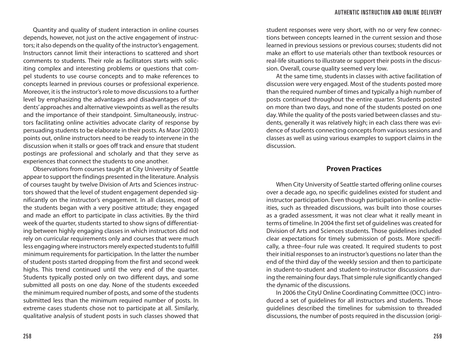Quantity and quality of student interaction in online courses depends, however, not just on the active engagement of instructors; it also depends on the quality of the instructor's engagement. Instructors cannot limit their interactions to scattered and short comments to students. Their role as facilitators starts with soliciting complex and interesting problems or questions that compel students to use course concepts and to make references to concepts learned in previous courses or professional experience. Moreover, it is the instructor's role to move discussions to a further level by emphasizing the advantages and disadvantages of students' approaches and alternative viewpoints as well as the results and the importance of their standpoint. Simultaneously, instructors facilitating online activities advocate clarity of response by persuading students to be elaborate in their posts. As Maor (2003) points out, online instructors need to be ready to intervene in the discussion when it stalls or goes off track and ensure that student postings are professional and scholarly and that they serve as experiences that connect the students to one another.

Observations from courses taught at City University of Seattle appear to support the findings presented in the literature. Analysis of courses taught by twelve Division of Arts and Sciences instructors showed that the level of student engagement depended significantly on the instructor's engagement. In all classes, most of the students began with a very positive attitude; they engaged and made an effort to participate in class activities. By the third week of the quarter, students started to show signs of differentiating between highly engaging classes in which instructors did not rely on curricular requirements only and courses that were much less engaging where instructors merely expected students to fulfill minimum requirements for participation. In the latter the number of student posts started dropping from the first and second week highs. This trend continued until the very end of the quarter. Students typically posted only on two different days, and some submitted all posts on one day. None of the students exceeded the minimum required number of posts, and some of the students submitted less than the minimum required number of posts. In extreme cases students chose not to participate at all. Similarly, qualitative analysis of student posts in such classes showed that

student responses were very short, with no or very few connections between concepts learned in the current session and those learned in previous sessions or previous courses; students did not make an effort to use materials other than textbook resources or real-life situations to illustrate or support their posts in the discussion. Overall, course quality seemed very low.

At the same time, students in classes with active facilitation of discussion were very engaged. Most of the students posted more than the required number of times and typically a high number of posts continued throughout the entire quarter. Students posted on more than two days, and none of the students posted on one day. While the quality of the posts varied between classes and students, generally it was relatively high; in each class there was evidence of students connecting concepts from various sessions and classes as well as using various examples to support claims in the discussion.

### **Proven Practices**

When City University of Seattle started offering online courses over a decade ago, no specific guidelines existed for student and instructor participation. Even though participation in online activities, such as threaded discussions, was built into those courses as a graded assessment, it was not clear what it really meant in terms of timeline. In 2004 the first set of guidelines was created for Division of Arts and Sciences students. Those guidelines included clear expectations for timely submission of posts. More specifically, a three–four rule was created. It required students to post their initial responses to an instructor's questions no later than the end of the third day of the weekly session and then to participate in student-to-student and student-to-instructor discussions during the remaining four days. That simple rule significantly changed the dynamic of the discussions.

In 2006 the CityU Online Coordinating Committee (OCC) introduced a set of guidelines for all instructors and students. Those guidelines described the timelines for submission to threaded discussions, the number of posts required in the discussion (origi-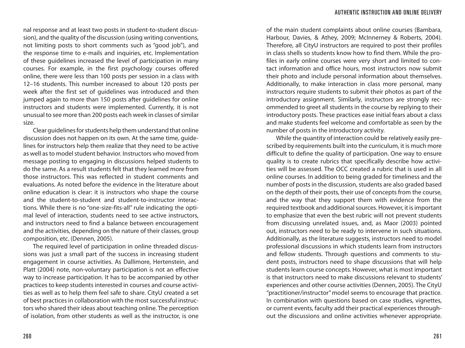nal response and at least two posts in student-to-student discussion), and the quality of the discussion (using writing conventions, not limiting posts to short comments such as "good job"), and the response time to e-mails and inquiries, etc. Implementation of these guidelines increased the level of participation in many courses. For example, in the first psychology courses offered online, there were less than 100 posts per session in a class with 12–16 students. This number increased to about 120 posts per week after the first set of guidelines was introduced and then jumped again to more than 150 posts after guidelines for online instructors and students were implemented. Currently, it is not unusual to see more than 200 posts each week in classes of similar size.

Clear guidelines for students help them understand that online discussion does not happen on its own. At the same time, guidelines for instructors help them realize that they need to be active as well as to model student behavior. Instructors who moved from message posting to engaging in discussions helped students to do the same. As a result students felt that they learned more from those instructors. This was reflected in student comments and evaluations. As noted before the evidence in the literature about online education is clear: it is instructors who shape the course and the student-to-student and student-to-instructor interactions. While there is no "one-size-fits-all" rule indicating the optimal level of interaction, students need to see active instructors, and instructors need to find a balance between encouragement and the activities, depending on the nature of their classes, group composition, etc. (Dennen, 2005).

The required level of participation in online threaded discussions was just a small part of the success in increasing student engagement in course activities. As Dallimore, Hertenstein, and Platt (2004) note, non-voluntary participation is not an effective way to increase participation. It has to be accompanied by other practices to keep students interested in courses and course activities as well as to help them feel safe to share. CityU created a set of best practices in collaboration with the most successful instructors who shared their ideas about teaching online. The perception of isolation, from other students as well as the instructor, is one

of the main student complaints about online courses (Bambara, Harbour, Davies, & Athey, 2009; McInnerney & Roberts, 2004). Therefore, all CityU instructors are required to post their profiles in class shells so students know how to find them. While the profiles in early online courses were very short and limited to contact information and office hours, most instructors now submit their photo and include personal information about themselves. Additionally, to make interaction in class more personal, many instructors require students to submit their photos as part of the introductory assignment. Similarly, instructors are strongly recommended to greet all students in the course by replying to their introductory posts. These practices ease initial fears about a class and make students feel welcome and comfortable as seen by the number of posts in the introductory activity.

While the quantity of interaction could be relatively easily prescribed by requirements built into the curriculum, it is much more difficult to define the quality of participation. One way to ensure quality is to create rubrics that specifically describe how activities will be assessed. The OCC created a rubric that is used in all online courses. In addition to being graded for timeliness and the number of posts in the discussion, students are also graded based on the depth of their posts, their use of concepts from the course, and the way that they support them with evidence from the required textbook and additional sources. However, it is important to emphasize that even the best rubric will not prevent students from discussing unrelated issues, and, as Maor (2003) pointed out, instructors need to be ready to intervene in such situations. Additionally, as the literature suggests, instructors need to model professional discussions in which students learn from instructors and fellow students. Through questions and comments to student posts, instructors need to shape discussions that will help students learn course concepts. However, what is most important is that instructors need to make discussions relevant to students' experiences and other course activities (Dennen, 2005). The CityU "practitioner/instructor" model seems to encourage that practice. In combination with questions based on case studies, vignettes, or current events, faculty add their practical experiences throughout the discussions and online activities whenever appropriate.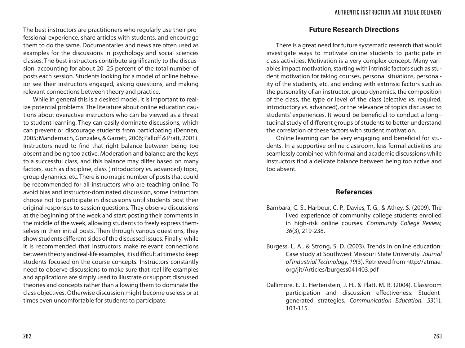The best instructors are practitioners who regularly use their professional experience, share articles with students, and encourage them to do the same. Documentaries and news are often used as examples for the discussions in psychology and social sciences classes. The best instructors contribute significantly to the discussion, accounting for about 20–25 percent of the total number of posts each session. Students looking for a model of online behavior see their instructors engaged, asking questions, and making relevant connections between theory and practice.

While in general this is a desired model, it is important to realize potential problems. The literature about online education cautions about overactive instructors who can be viewed as a threat to student learning. They can easily dominate discussions, which can prevent or discourage students from participating (Dennen, 2005; Mandernach, Gonzales, & Garrett, 2006; Palloff & Pratt, 2001). Instructors need to find that right balance between being too absent and being too active. Moderation and balance are the keys to a successful class, and this balance may differ based on many factors, such as discipline, class (introductory *vs.* advanced) topic, group dynamics, etc. There is no magic number of posts that could be recommended for all instructors who are teaching online. To avoid bias and instructor-dominated discussion, some instructors choose not to participate in discussions until students post their original responses to session questions. They observe discussions at the beginning of the week and start posting their comments in the middle of the week, allowing students to freely express themselves in their initial posts. Then through various questions, they show students different sides of the discussed issues. Finally, while it is recommended that instructors make relevant connections between theory and real-life examples, it is difficult at times to keep students focused on the course concepts. Instructors constantly need to observe discussions to make sure that real life examples and applications are simply used to illustrate or support discussed theories and concepts rather than allowing them to dominate the class objectives. Otherwise discussion might become useless or at times even uncomfortable for students to participate.

# **Future Research Directions**

There is a great need for future systematic research that would investigate ways to motivate online students to participate in class activities. Motivation is a very complex concept. Many variables impact motivation, starting with intrinsic factors such as student motivation for taking courses, personal situations, personality of the students, etc. and ending with extrinsic factors such as the personality of an instructor, group dynamics, the composition of the class, the type or level of the class (elective *vs*. required, introductory *vs*. advanced), or the relevance of topics discussed to students' experiences. It would be beneficial to conduct a longitudinal study of different groups of students to better understand the correlation of these factors with student motivation.

Online learning can be very engaging and beneficial for students. In a supportive online classroom, less formal activities are seamlessly combined with formal and academic discussions while instructors find a delicate balance between being too active and too absent.

#### **References**

- Bambara, C. S., Harbour, C. P., Davies, T. G., & Athey, S. (2009). The lived experience of community college students enrolled in high-risk online courses. *Community College Review, 36*(3), 219-238.
- Burgess, L. A., & Strong, S. D. (2003). Trends in online education: Case study at Southwest Missouri State University. *Journal of Industrial Technology, 19*(3). Retrieved from http://atmae. org/jit/Articles/burgess041403.pdf
- Dallimore, E. J., Hertenstein, J. H., & Platt, M. B. (2004). Classroom participation and discussion effectiveness: Studentgenerated strategies. *Communication Education*, *53*(1), 103-115.